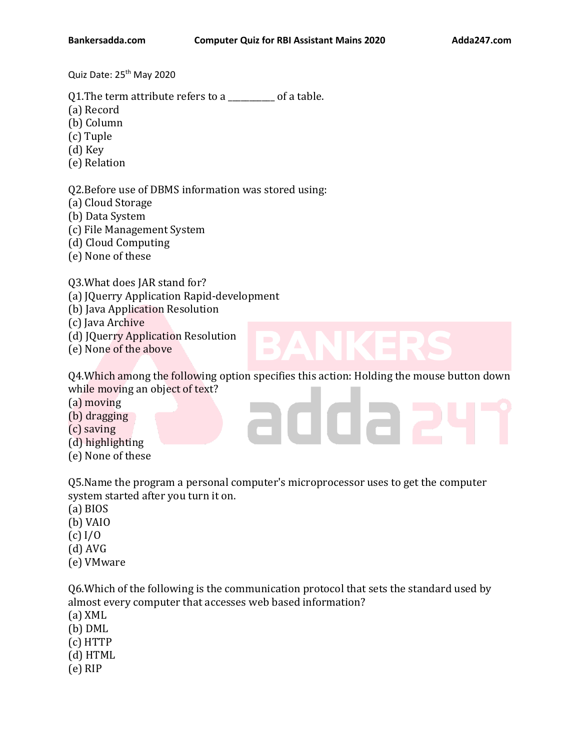Quiz Date: 25<sup>th</sup> May 2020

Q1. The term attribute refers to a contracted by of a table.

- (a) Record
- (b) Column
- (c) Tuple
- (d) Key
- (e) Relation

Q2.Before use of DBMS information was stored using:

- (a) Cloud Storage
- (b) Data System
- (c) File Management System
- (d) Cloud Computing
- (e) None of these

Q3.What does JAR stand for?

- (a) JQuerry Application Rapid-development
- (b) Java Application Resolution
- (c) Java Archive
- (d) JQuerry Application Resolution
- (e) None of the above

Q4.Which among the following option specifies this action: Holding the mouse button down while moving an object of text?

nna;

- (a) moving
- (b) dragging
- (c) saving
- (d) highlighting
- (e) None of these

Q5.Name the program a personal computer's microprocessor uses to get the computer system started after you turn it on.

- (a) BIOS
- (b) VAIO
- (c) I/O
- (d) AVG
- (e) VMware

Q6.Which of the following is the communication protocol that sets the standard used by almost every computer that accesses web based information?

- (a) XML
- (b) DML
- (c) HTTP
- (d) HTML
- (e) RIP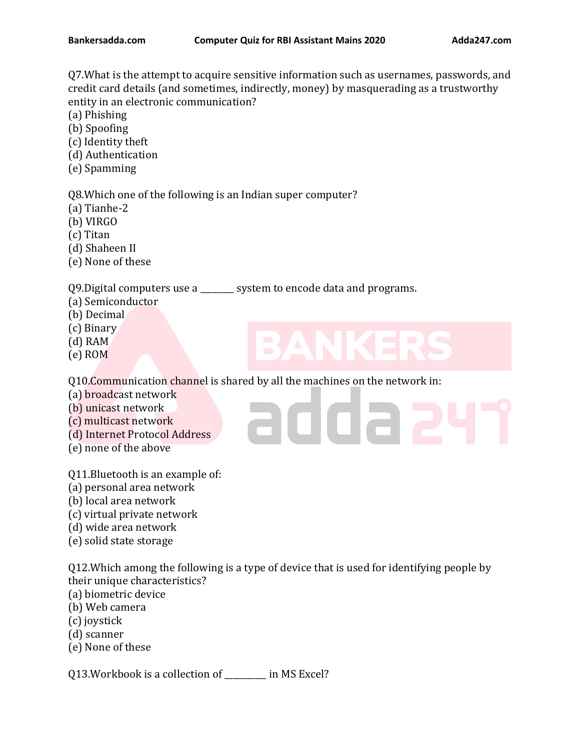Q7.What is the attempt to acquire sensitive information such as usernames, passwords, and credit card details (and sometimes, indirectly, money) by masquerading as a trustworthy entity in an electronic communication?

- (a) Phishing
- (b) Spoofing
- (c) Identity theft
- (d) Authentication
- (e) Spamming

Q8.Which one of the following is an Indian super computer?

- (a) Tianhe-2
- (b) VIRGO
- (c) Titan
- (d) Shaheen II
- (e) None of these

Q9.Digital computers use a \_\_\_\_\_\_\_\_ system to encode data and programs.

- (a) Semiconductor
- (b) Decimal
- (c) Binary
- (d) RAM
- (e) ROM

Q10.Communication channel is shared by all the machines on the network in:

- (a) broadcast network
- (b) unicast network
- (c) multicast network
- (d) Internet Protocol Address
- (e) none of the above

Q11.Bluetooth is an example of:

- (a) personal area network
- (b) local area network
- (c) virtual private network
- (d) wide area network
- (e) solid state storage

Q12.Which among the following is a type of device that is used for identifying people by their unique characteristics?

adda a

- (a) biometric device
- (b) Web camera
- (c) joystick
- (d) scanner
- (e) None of these

Q13.Workbook is a collection of \_\_\_\_\_\_\_\_\_\_ in MS Excel?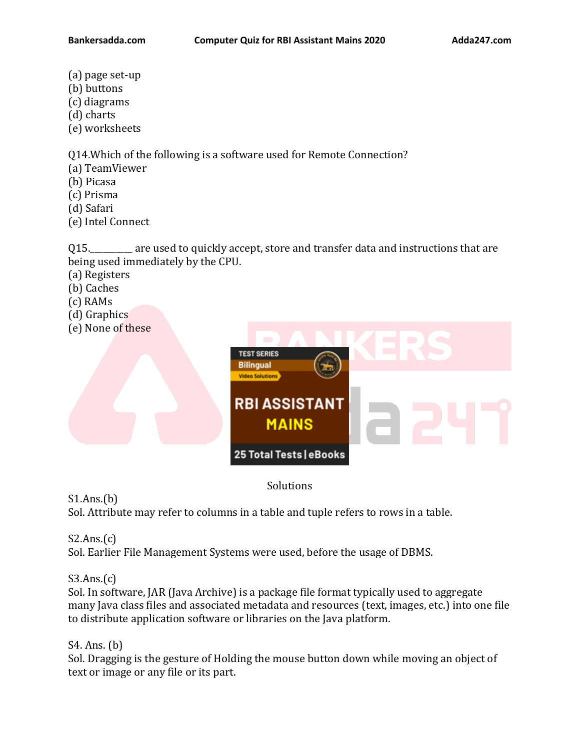- (a) page set-up
- (b) buttons
- (c) diagrams
- (d) charts
- (e) worksheets

Q14.Which of the following is a software used for Remote Connection?

- (a) TeamViewer
- (b) Picasa
- (c) Prisma
- (d) Safari
- (e) Intel Connect

Q15.\_\_\_\_\_\_\_\_\_\_ are used to quickly accept, store and transfer data and instructions that are being used immediately by the CPU.

- (a) Registers
- (b) Caches
- (c) RAMs
- (d) Graphics
- (e) None of these



# Solutions

 $S1.Ans.(b)$ Sol. Attribute may refer to columns in a table and tuple refers to rows in a table.

 $S2.Ans.(c)$ 

Sol. Earlier File Management Systems were used, before the usage of DBMS.

# $S3.Ans.(c)$

Sol. In software, JAR (Java Archive) is a package file format typically used to aggregate many Java class files and associated metadata and resources (text, images, etc.) into one file to distribute application software or libraries on the Java platform.

# S4. Ans. (b)

Sol. Dragging is the gesture of Holding the mouse button down while moving an object of text or image or any file or its part.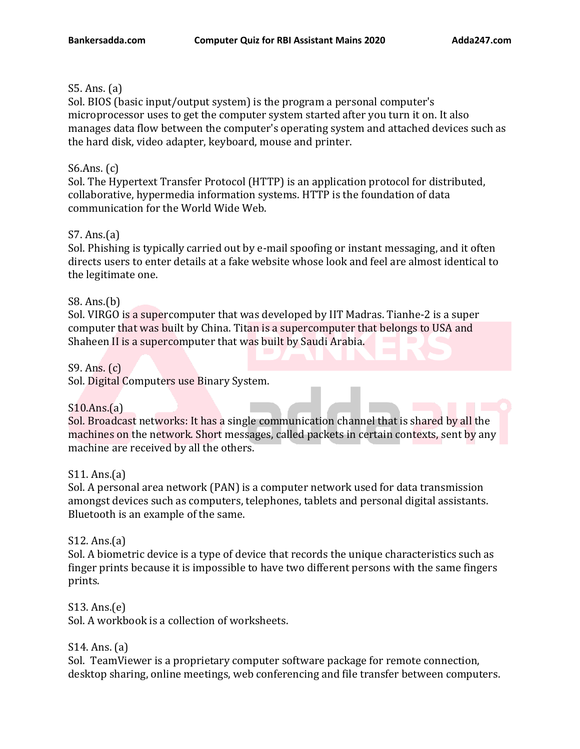# S5. Ans. (a)

Sol. BIOS (basic input/output system) is the program a personal computer's microprocessor uses to get the computer system started after you turn it on. It also manages data flow between the computer's operating system and attached devices such as the hard disk, video adapter, keyboard, mouse and printer.

# S6.Ans. (c)

Sol. The Hypertext Transfer Protocol (HTTP) is an application protocol for distributed, collaborative, hypermedia information systems. HTTP is the foundation of data communication for the World Wide Web.

# S7. Ans.(a)

Sol. Phishing is typically carried out by e-mail spoofing or instant messaging, and it often directs users to enter details at a fake website whose look and feel are almost identical to the legitimate one.

# S8. Ans.(b)

Sol. VIRGO is a supercomputer that was developed by IIT Madras. Tianhe-2 is a super computer that was built by China. Titan is a supercomputer that belongs to USA and Shaheen II is a supercomputer that was built by Saudi Arabia.

# S9. Ans. (c)

Sol. Digital Computers use Binary System.

#### S10.Ans.(a)

Sol. Broadcast networks: It has a single communication channel that is shared by all the machines on the network. Short messages, called packets in certain contexts, sent by any machine are received by all the others.

# S11. Ans.(a)

Sol. A personal area network (PAN) is a computer network used for data transmission amongst devices such as computers, telephones, tablets and personal digital assistants. Bluetooth is an example of the same.

#### S12. Ans.(a)

Sol. A biometric device is a type of device that records the unique characteristics such as finger prints because it is impossible to have two different persons with the same fingers prints.

#### S13. Ans.(e)

Sol. A workbook is a collection of worksheets.

# S14. Ans. (a)

Sol. TeamViewer is a proprietary computer software package for remote connection, desktop sharing, online meetings, web conferencing and file transfer between computers.